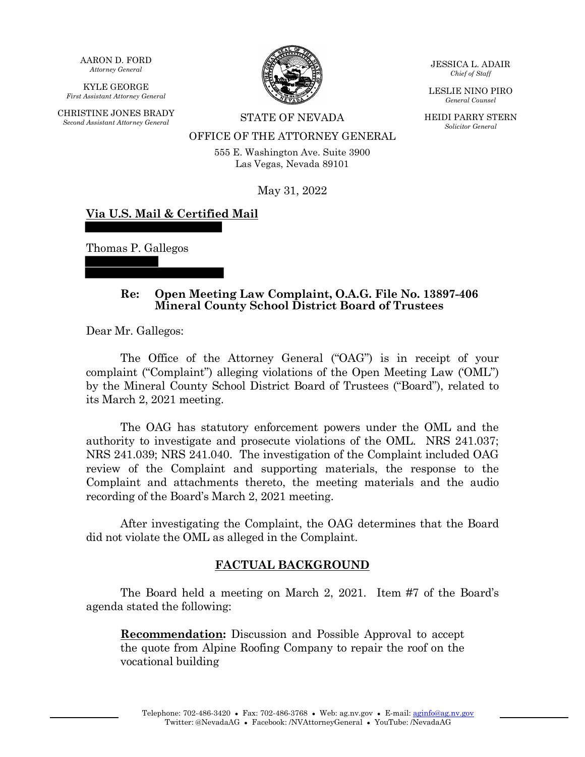AARON D. FORD *Attorney General*

KYLE GEORGE *First Assistant Attorney General*

CHRISTINE JONES BRADY *Second Assistant Attorney General* STATE OF NEVADA



JESSICA L. ADAIR *Chief of Staff*

LESLIE NINO PIRO *General Counsel*

HEIDI PARRY STERN *Solicitor General*

# OFFICE OF THE ATTORNEY GENERAL

555 E. Washington Ave. Suite 3900 Las Vegas, Nevada 89101

May 31, 2022

## **Via U.S. Mail & Certified Mail**

Thomas P. Gallegos

#### **Re: Open Meeting Law Complaint, O.A.G. File No. 13897-406 Mineral County School District Board of Trustees**

Dear Mr. Gallegos:

The Office of the Attorney General ("OAG") is in receipt of your complaint ("Complaint") alleging violations of the Open Meeting Law ('OML") by the Mineral County School District Board of Trustees ("Board"), related to its March 2, 2021 meeting.

The OAG has statutory enforcement powers under the OML and the authority to investigate and prosecute violations of the OML. NRS 241.037; NRS 241.039; NRS 241.040. The investigation of the Complaint included OAG review of the Complaint and supporting materials, the response to the Complaint and attachments thereto, the meeting materials and the audio recording of the Board's March 2, 2021 meeting.

After investigating the Complaint, the OAG determines that the Board did not violate the OML as alleged in the Complaint.

### **FACTUAL BACKGROUND**

The Board held a meeting on March 2, 2021. Item #7 of the Board's agenda stated the following:

**Recommendation:** Discussion and Possible Approval to accept the quote from Alpine Roofing Company to repair the roof on the vocational building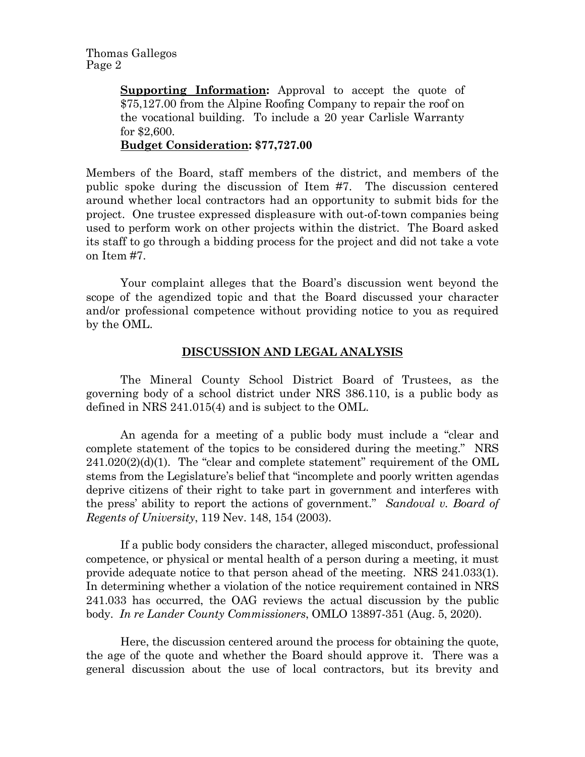**Supporting Information:** Approval to accept the quote of \$75,127.00 from the Alpine Roofing Company to repair the roof on the vocational building. To include a 20 year Carlisle Warranty for \$2,600. **Budget Consideration: \$77,727.00**

Members of the Board, staff members of the district, and members of the public spoke during the discussion of Item #7. The discussion centered around whether local contractors had an opportunity to submit bids for the project. One trustee expressed displeasure with out-of-town companies being used to perform work on other projects within the district. The Board asked its staff to go through a bidding process for the project and did not take a vote on Item #7.

Your complaint alleges that the Board's discussion went beyond the scope of the agendized topic and that the Board discussed your character and/or professional competence without providing notice to you as required by the OML.

## **DISCUSSION AND LEGAL ANALYSIS**

The Mineral County School District Board of Trustees, as the governing body of a school district under NRS 386.110, is a public body as defined in NRS 241.015(4) and is subject to the OML.

An agenda for a meeting of a public body must include a "clear and complete statement of the topics to be considered during the meeting." NRS  $241.020(2)(d)(1)$ . The "clear and complete statement" requirement of the OML stems from the Legislature's belief that "incomplete and poorly written agendas deprive citizens of their right to take part in government and interferes with the press' ability to report the actions of government." *Sandoval v. Board of Regents of University*, 119 Nev. 148, 154 (2003).

If a public body considers the character, alleged misconduct, professional competence, or physical or mental health of a person during a meeting, it must provide adequate notice to that person ahead of the meeting. NRS 241.033(1). In determining whether a violation of the notice requirement contained in NRS 241.033 has occurred, the OAG reviews the actual discussion by the public body. *In re Lander County Commissioners*, OMLO 13897-351 (Aug. 5, 2020).

Here, the discussion centered around the process for obtaining the quote, the age of the quote and whether the Board should approve it. There was a general discussion about the use of local contractors, but its brevity and